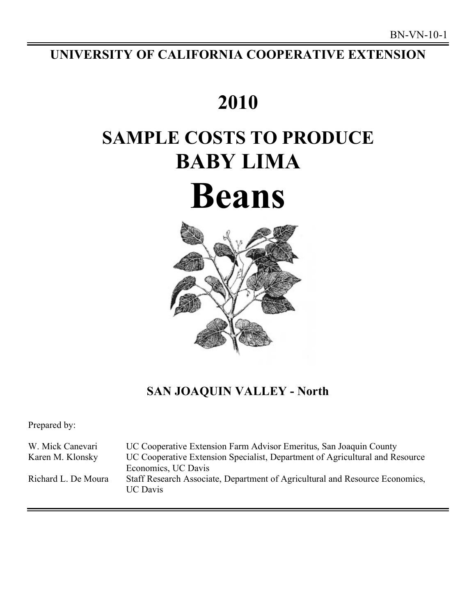# **UNIVERSITY OF CALIFORNIA COOPERATIVE EXTENSION**

# **SAMPLE COSTS TO PRODUCE 2010 BABY LIMA Beans**



## **SAN JOAQUIN VALLEY - North**

Prepared by:

 UC Cooperative Extension Farm Advisor Emeritus, San Joaquin County UC Cooperative Extension Specialist, Department of Agricultural and Resource Economics, UC Davis Richard L. De Moura W. Mick Canevari Karen M. Klonsky Staff Research Associate, Department of Agricultural and Resource Economics, UC Davis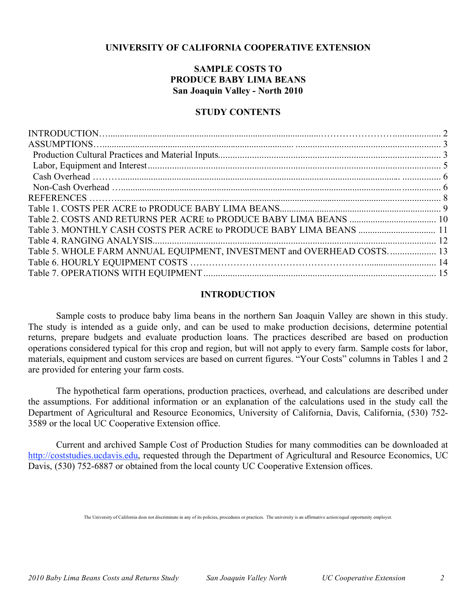## **UNIVERSITY OF CALIFORNIA COOPERATIVE EXTENSION**

## **SAMPLE COSTS TO PRODUCE BABY LIMA BEANS San Joaquin Valley - North 2010**

## **STUDY CONTENTS**

| Table 5. WHOLE FARM ANNUAL EQUIPMENT, INVESTMENT and OVERHEAD COSTS 13 |  |
|------------------------------------------------------------------------|--|
|                                                                        |  |
|                                                                        |  |

## **INTRODUCTION**

 Sample costs to produce baby lima beans in the northern San Joaquin Valley are shown in this study. The study is intended as a guide only, and can be used to make production decisions, determine potential returns, prepare budgets and evaluate production loans. The practices described are based on production operations considered typical for this crop and region, but will not apply to every farm. Sample costs for labor, materials, equipment and custom services are based on current figures. "Your Costs" columns in Tables 1 and 2 are provided for entering your farm costs.

 The hypothetical farm operations, production practices, overhead, and calculations are described under the assumptions. For additional information or an explanation of the calculations used in the study call the Department of Agricultural and Resource Economics, University of California, Davis, California, (530) 752- 3589 or the local UC Cooperative Extension office.

 Current and archived Sample Cost of Production Studies for many commodities can be downloaded at http://coststudies.ucdavis.edu, requested through the Department of Agricultural and Resource Economics, UC Davis, (530) 752-6887 or obtained from the local county UC Cooperative Extension offices.

The University of California does not discriminate in any of its policies, procedures or practices. The university is an affirmative action/equal opportunity employer.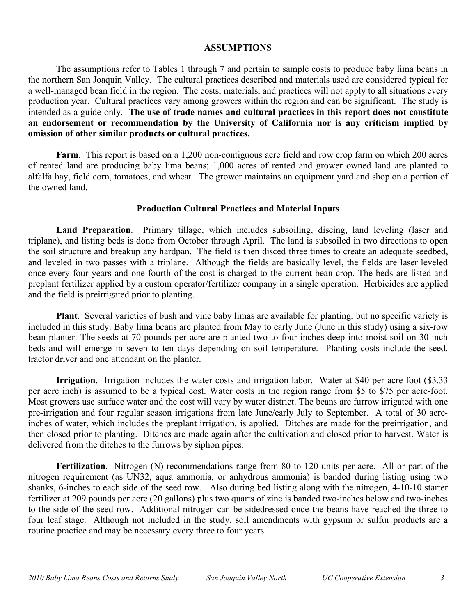## **ASSUMPTIONS**

 The assumptions refer to Tables 1 through 7 and pertain to sample costs to produce baby lima beans in the northern San Joaquin Valley. The cultural practices described and materials used are considered typical for a well-managed bean field in the region. The costs, materials, and practices will not apply to all situations every production year. Cultural practices vary among growers within the region and can be significant. The study is intended as a guide only. **The use of trade names and cultural practices in this report does not constitute an endorsement or recommendation by the University of California nor is any criticism implied by omission of other similar products or cultural practices.** 

 **Farm**. This report is based on a 1,200 non-contiguous acre field and row crop farm on which 200 acres of rented land are producing baby lima beans; 1,000 acres of rented and grower owned land are planted to alfalfa hay, field corn, tomatoes, and wheat. The grower maintains an equipment yard and shop on a portion of the owned land.

## **Production Cultural Practices and Material Inputs**

 **Land Preparation**. Primary tillage, which includes subsoiling, discing, land leveling (laser and triplane), and listing beds is done from October through April. The land is subsoiled in two directions to open the soil structure and breakup any hardpan. The field is then disced three times to create an adequate seedbed, and leveled in two passes with a triplane. Although the fields are basically level, the fields are laser leveled once every four years and one-fourth of the cost is charged to the current bean crop. The beds are listed and preplant fertilizer applied by a custom operator/fertilizer company in a single operation. Herbicides are applied and the field is preirrigated prior to planting.

 **Plant**. Several varieties of bush and vine baby limas are available for planting, but no specific variety is included in this study. Baby lima beans are planted from May to early June (June in this study) using a six-row bean planter. The seeds at 70 pounds per acre are planted two to four inches deep into moist soil on 30-inch beds and will emerge in seven to ten days depending on soil temperature. Planting costs include the seed, tractor driver and one attendant on the planter.

**Irrigation**. Irrigation includes the water costs and irrigation labor. Water at \$40 per acre foot (\$3.33) per acre inch) is assumed to be a typical cost. Water costs in the region range from \$5 to \$75 per acre-foot. Most growers use surface water and the cost will vary by water district. The beans are furrow irrigated with one pre-irrigation and four regular season irrigations from late June/early July to September. A total of 30 acre- inches of water, which includes the preplant irrigation, is applied. Ditches are made for the preirrigation, and then closed prior to planting. Ditches are made again after the cultivation and closed prior to harvest. Water is delivered from the ditches to the furrows by siphon pipes.

 **Fertilization**. Nitrogen (N) recommendations range from 80 to 120 units per acre. All or part of the nitrogen requirement (as UN32, aqua ammonia, or anhydrous ammonia) is banded during listing using two shanks, 6-inches to each side of the seed row. Also during bed listing along with the nitrogen, 4-10-10 starter fertilizer at 209 pounds per acre (20 gallons) plus two quarts of zinc is banded two-inches below and two-inches to the side of the seed row. Additional nitrogen can be sidedressed once the beans have reached the three to four leaf stage. Although not included in the study, soil amendments with gypsum or sulfur products are a routine practice and may be necessary every three to four years.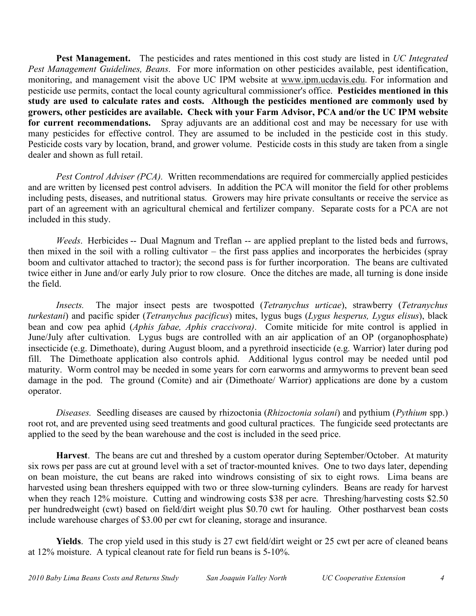**Pest Management.** The pesticides and rates mentioned in this cost study are listed in *UC Integrated*  Pest Management Guidelines, Beans. For more information on other pesticides available, pest identification, monitoring, and management visit the above UC IPM website at www.ipm.ucdavis.edu. For information and pesticide use permits, contact the local county agricultural commissioner's office. **Pesticides mentioned in this study are used to calculate rates and costs. Although the pesticides mentioned are commonly used by growers, other pesticides are available. Check with your Farm Advisor, PCA and/or the UC IPM website**  for current recommendations. Spray adjuvants are an additional cost and may be necessary for use with many pesticides for effective control. They are assumed to be included in the pesticide cost in this study. Pesticide costs vary by location, brand, and grower volume. Pesticide costs in this study are taken from a single dealer and shown as full retail.

Pest Control Adviser (PCA). Written recommendations are required for commercially applied pesticides and are written by licensed pest control advisers. In addition the PCA will monitor the field for other problems including pests, diseases, and nutritional status. Growers may hire private consultants or receive the service as part of an agreement with an agricultural chemical and fertilizer company. Separate costs for a PCA are not included in this study.

 *Weeds*. Herbicides -- Dual Magnum and Treflan -- are applied preplant to the listed beds and furrows, then mixed in the soil with a rolling cultivator – the first pass applies and incorporates the herbicides (spray boom and cultivator attached to tractor); the second pass is for further incorporation. The beans are cultivated twice either in June and/or early July prior to row closure. Once the ditches are made, all turning is done inside the field.

*Insects. turkestani*) and pacific spider (*Tetranychus pacificus*) mites, lygus bugs (*Lygus hesperus, Lygus elisus*), black bean and cow pea aphid (*Aphis fabae, Aphis craccivora)*. Comite miticide for mite control is applied in June/July after cultivation. Lygus bugs are controlled with an air application of an OP (organophosphate) insecticide (e.g. Dimethoate), during August bloom, and a pyrethroid insecticide (e.g. Warrior) later during pod fill. The Dimethoate application also controls aphid. Additional lygus control may be needed until pod maturity. Worm control may be needed in some years for corn earworms and armyworms to prevent bean seed damage in the pod. The ground (Comite) and air (Dimethoate/ Warrior) applications are done by a custom *Insects.* The major insect pests are twospotted (*Tetranychus urticae*), strawberry (*Tetranychus*  operator.

 *Diseases.* Seedling diseases are caused by rhizoctonia (*Rhizoctonia solani*) and pythium (*Pythium* spp.) root rot, and are prevented using seed treatments and good cultural practices. The fungicide seed protectants are applied to the seed by the bean warehouse and the cost is included in the seed price.

 **Harvest**. The beans are cut and threshed by a custom operator during September/October. At maturity six rows per pass are cut at ground level with a set of tractor-mounted knives. One to two days later, depending on bean moisture, the cut beans are raked into windrows consisting of six to eight rows. Lima beans are harvested using bean threshers equipped with two or three slow-turning cylinders. Beans are ready for harvest when they reach 12% moisture. Cutting and windrowing costs \$38 per acre. Threshing/harvesting costs \$2.50 per hundredweight (cwt) based on field/dirt weight plus \$0.70 cwt for hauling. Other postharvest bean costs include warehouse charges of \$3.00 per cwt for cleaning, storage and insurance.

 **Yields**. The crop yield used in this study is 27 cwt field/dirt weight or 25 cwt per acre of cleaned beans at 12% moisture. A typical cleanout rate for field run beans is 5-10%.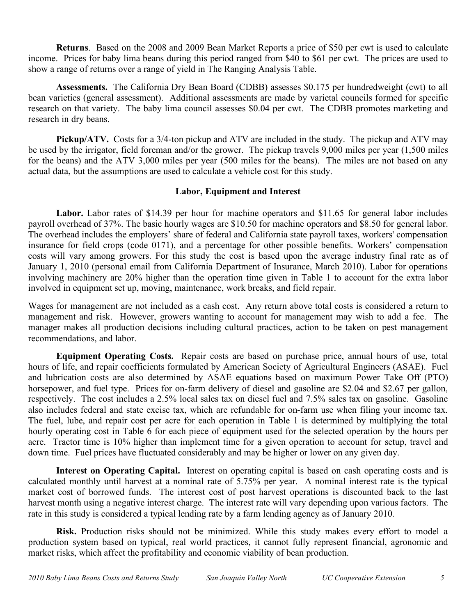**Returns**. Based on the 2008 and 2009 Bean Market Reports a price of \$50 per cwt is used to calculate income. Prices for baby lima beans during this period ranged from \$40 to \$61 per cwt. The prices are used to show a range of returns over a range of yield in The Ranging Analysis Table.

 **Assessments.** The California Dry Bean Board (CDBB) assesses \$0.175 per hundredweight (cwt) to all bean varieties (general assessment). Additional assessments are made by varietal councils formed for specific research on that variety. The baby lima council assesses \$0.04 per cwt. The CDBB promotes marketing and research in dry beans.

**Pickup/ATV.** Costs for a 3/4-ton pickup and ATV are included in the study. The pickup and ATV may be used by the irrigator, field foreman and/or the grower. The pickup travels 9,000 miles per year (1,500 miles for the beans) and the ATV 3,000 miles per year (500 miles for the beans). The miles are not based on any actual data, but the assumptions are used to calculate a vehicle cost for this study.

## **Labor, Equipment and Interest**

Labor. Labor rates of \$14.39 per hour for machine operators and \$11.65 for general labor includes payroll overhead of 37%. The basic hourly wages are \$10.50 for machine operators and \$8.50 for general labor. The overhead includes the employers' share of federal and California state payroll taxes, workers' compensation insurance for field crops (code 0171), and a percentage for other possible benefits. Workers' compensation costs will vary among growers. For this study the cost is based upon the average industry final rate as of January 1, 2010 (personal email from California Department of Insurance, March 2010). Labor for operations involving machinery are 20% higher than the operation time given in Table 1 to account for the extra labor involved in equipment set up, moving, maintenance, work breaks, and field repair.

 Wages for management are not included as a cash cost. Any return above total costs is considered a return to management and risk. However, growers wanting to account for management may wish to add a fee. The manager makes all production decisions including cultural practices, action to be taken on pest management recommendations, and labor.

Equipment Operating Costs. Repair costs are based on purchase price, annual hours of use, total hours of life, and repair coefficients formulated by American Society of Agricultural Engineers (ASAE). Fuel and lubrication costs are also determined by ASAE equations based on maximum Power Take Off (PTO) horsepower, and fuel type. Prices for on-farm delivery of diesel and gasoline are \$2.04 and \$2.67 per gallon, respectively. The cost includes a 2.5% local sales tax on diesel fuel and 7.5% sales tax on gasoline. Gasoline also includes federal and state excise tax, which are refundable for on-farm use when filing your income tax. The fuel, lube, and repair cost per acre for each operation in Table 1 is determined by multiplying the total hourly operating cost in Table 6 for each piece of equipment used for the selected operation by the hours per acre. Tractor time is 10% higher than implement time for a given operation to account for setup, travel and down time. Fuel prices have fluctuated considerably and may be higher or lower on any given day.

Interest on Operating Capital. Interest on operating capital is based on cash operating costs and is calculated monthly until harvest at a nominal rate of 5.75% per year. A nominal interest rate is the typical market cost of borrowed funds. The interest cost of post harvest operations is discounted back to the last harvest month using a negative interest charge. The interest rate will vary depending upon various factors. The rate in this study is considered a typical lending rate by a farm lending agency as of January 2010.

 **Risk.** Production risks should not be minimized. While this study makes every effort to model a production system based on typical, real world practices, it cannot fully represent financial, agronomic and market risks, which affect the profitability and economic viability of bean production.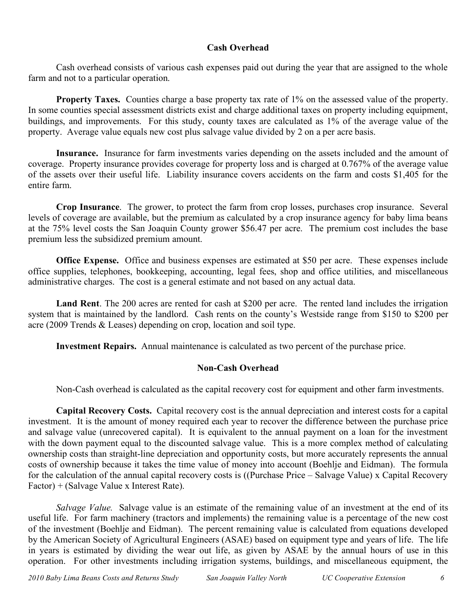## **Cash Overhead**

 Cash overhead consists of various cash expenses paid out during the year that are assigned to the whole farm and not to a particular operation.

**Property Taxes.** Counties charge a base property tax rate of 1% on the assessed value of the property. In some counties special assessment districts exist and charge additional taxes on property including equipment, buildings, and improvements. For this study, county taxes are calculated as 1% of the average value of the property. Average value equals new cost plus salvage value divided by 2 on a per acre basis.

 **Insurance.** Insurance for farm investments varies depending on the assets included and the amount of coverage. Property insurance provides coverage for property loss and is charged at 0.767% of the average value of the assets over their useful life. Liability insurance covers accidents on the farm and costs \$1,405 for the entire farm.

 **Crop Insurance**. The grower, to protect the farm from crop losses, purchases crop insurance. Several levels of coverage are available, but the premium as calculated by a crop insurance agency for baby lima beans at the 75% level costs the San Joaquin County grower \$56.47 per acre. The premium cost includes the base premium less the subsidized premium amount.

 **Office Expense.** Office and business expenses are estimated at \$50 per acre. These expenses include office supplies, telephones, bookkeeping, accounting, legal fees, shop and office utilities, and miscellaneous administrative charges. The cost is a general estimate and not based on any actual data.

 **Land Rent**. The 200 acres are rented for cash at \$200 per acre. The rented land includes the irrigation system that is maintained by the landlord. Cash rents on the county's Westside range from \$150 to \$200 per acre (2009 Trends & Leases) depending on crop, location and soil type.

**Investment Repairs.** Annual maintenance is calculated as two percent of the purchase price.

## **Non-Cash Overhead**

Non-Cash overhead is calculated as the capital recovery cost for equipment and other farm investments.

 **Capital Recovery Costs.** Capital recovery cost is the annual depreciation and interest costs for a capital investment. It is the amount of money required each year to recover the difference between the purchase price and salvage value (unrecovered capital). It is equivalent to the annual payment on a loan for the investment with the down payment equal to the discounted salvage value. This is a more complex method of calculating ownership costs than straight-line depreciation and opportunity costs, but more accurately represents the annual costs of ownership because it takes the time value of money into account (Boehlje and Eidman). The formula for the calculation of the annual capital recovery costs is ((Purchase Price – Salvage Value) x Capital Recovery Factor) + (Salvage Value x Interest Rate).

 *Salvage Value.* Salvage value is an estimate of the remaining value of an investment at the end of its useful life. For farm machinery (tractors and implements) the remaining value is a percentage of the new cost of the investment (Boehlje and Eidman). The percent remaining value is calculated from equations developed by the American Society of Agricultural Engineers (ASAE) based on equipment type and years of life. The life in years is estimated by dividing the wear out life, as given by ASAE by the annual hours of use in this operation. For other investments including irrigation systems, buildings, and miscellaneous equipment, the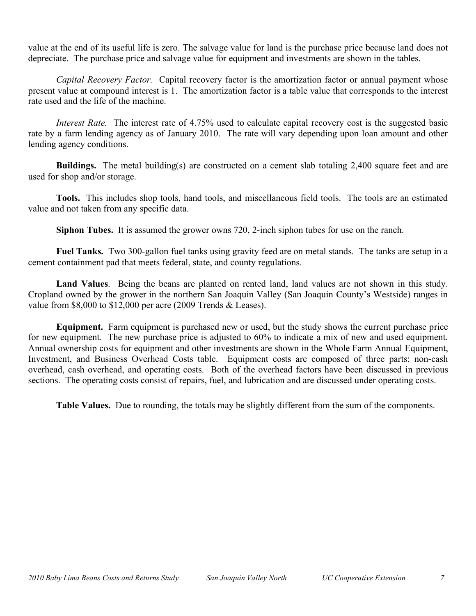value at the end of its useful life is zero. The salvage value for land is the purchase price because land does not depreciate. The purchase price and salvage value for equipment and investments are shown in the tables.

*Capital Recovery Factor.* Capital recovery factor is the amortization factor or annual payment whose present value at compound interest is 1. The amortization factor is a table value that corresponds to the interest rate used and the life of the machine.

 *Interest Rate.* The interest rate of 4.75% used to calculate capital recovery cost is the suggested basic rate by a farm lending agency as of January 2010. The rate will vary depending upon loan amount and other lending agency conditions.

**Buildings.** The metal building(s) are constructed on a cement slab totaling 2,400 square feet and are used for shop and/or storage.

 **Tools.** This includes shop tools, hand tools, and miscellaneous field tools. The tools are an estimated value and not taken from any specific data.

**Siphon Tubes.** It is assumed the grower owns 720, 2-inch siphon tubes for use on the ranch.

 **Fuel Tanks.** Two 300-gallon fuel tanks using gravity feed are on metal stands. The tanks are setup in a cement containment pad that meets federal, state, and county regulations.

Land Values. Being the beans are planted on rented land, land values are not shown in this study. Cropland owned by the grower in the northern San Joaquin Valley (San Joaquin County's Westside) ranges in value from \$8,000 to \$12,000 per acre (2009 Trends & Leases).

 **Equipment.** Farm equipment is purchased new or used, but the study shows the current purchase price for new equipment. The new purchase price is adjusted to 60% to indicate a mix of new and used equipment. Annual ownership costs for equipment and other investments are shown in the Whole Farm Annual Equipment, Investment, and Business Overhead Costs table. Equipment costs are composed of three parts: non-cash overhead, cash overhead, and operating costs. Both of the overhead factors have been discussed in previous sections. The operating costs consist of repairs, fuel, and lubrication and are discussed under operating costs.

**Table Values.** Due to rounding, the totals may be slightly different from the sum of the components.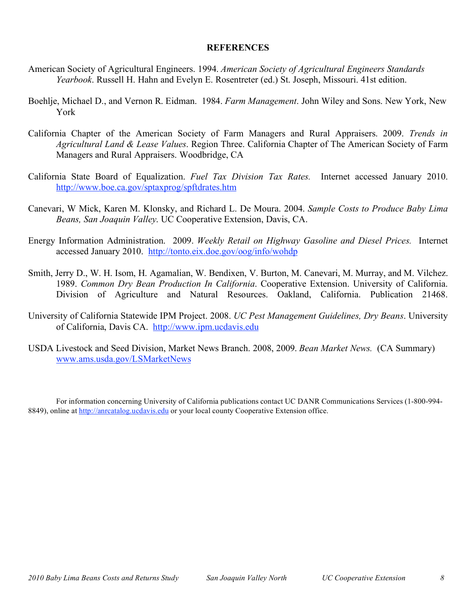### **REFERENCES**

- American Society of Agricultural Engineers. 1994. *American Society of Agricultural Engineers Standards Yearbook*. Russell H. Hahn and Evelyn E. Rosentreter (ed.) St. Joseph, Missouri. 41st edition.
- Boehlje, Michael D., and Vernon R. Eidman. 1984. *Farm Management*. John Wiley and Sons. New York, New York
- California Chapter of the American Society of Farm Managers and Rural Appraisers. 2009. *Trends in Agricultural Land & Lease Values*. Region Three. California Chapter of The American Society of Farm Managers and Rural Appraisers. Woodbridge, CA
- California State Board of Equalization. *Fuel Tax Division Tax Rates.* Internet accessed January 2010. http://www.boe.ca.gov/sptaxprog/spftdrates.htm http://www.boe.ca.gov/sptaxprog/spftdrates.htm Canevari, W Mick, Karen M. Klonsky, and Richard L. De Moura. 2004. *Sample Costs to Produce Baby Lima*
- *Beans, San Joaquin Valley*. UC Cooperative Extension, Davis, CA.
- Energy Information Administration. 2009. *Weekly Retail on Highway Gasoline and Diesel Prices.* Internet accessed January 2010. http://tonto.eix.doe.gov/oog/info/wohdp
- Smith, Jerry D., W. H. Isom, H. Agamalian, W. Bendixen, V. Burton, M. Canevari, M. Murray, and M. Vilchez. 1989. *Common Dry Bean Production In California*. Cooperative Extension. University of California. Division of Agriculture and Natural Resources. Oakland, California. Publication 21468.
- University of California Statewide IPM Project. 2008. *UC Pest Management Guidelines, Dry Beans*. University of California, Davis CA. http://www.ipm.ucdavis.edu
- USDA Livestock and Seed Division, Market News Branch. 2008, 2009. *Bean Market News.* (CA Summary) www.ams.usda.gov/LSMarketNews

 For information concerning University of California publications contact UC DANR Communications Services (1-800-994- 8849), online at http://anrcatalog.ucdavis.edu or your local county Cooperative Extension office.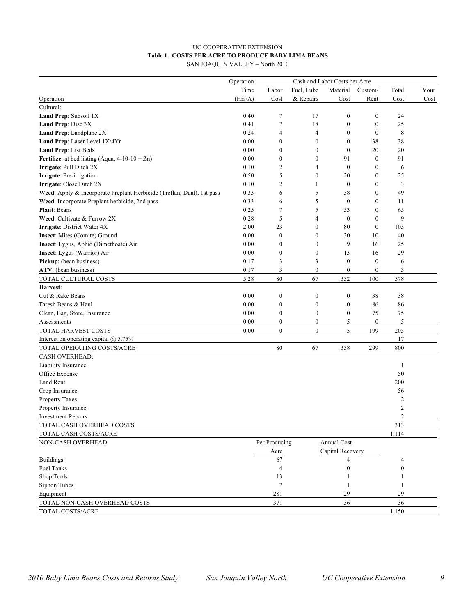## **Table 1. COSTS PER ACRE TO PRODUCE BABY LIMA BEANS**  UC COOPERATIVE EXTENSION

| SAN JOAQUIN VALLEY – North 2010 |  |  |
|---------------------------------|--|--|
|---------------------------------|--|--|

| Fuel, Lube<br>Material<br>Time<br>Labor<br>Custom/<br>Total<br>Your<br>(Hrs/A)<br>Cost<br>& Repairs<br>Cost<br>Rent<br>Cost<br>Cost<br>Operation<br>Cultural:<br>Land Prep: Subsoil 1X<br>0.40<br>$\tau$<br>17<br>$\boldsymbol{0}$<br>$\boldsymbol{0}$<br>24<br>$\tau$<br>18<br>Land Prep: Disc 3X<br>0.41<br>$\boldsymbol{0}$<br>$\boldsymbol{0}$<br>25<br>Land Prep: Landplane 2X<br>0.24<br>$\overline{4}$<br>$\boldsymbol{0}$<br>8<br>$\overline{4}$<br>$\boldsymbol{0}$<br>Land Prep: Laser Level 1X/4Yr<br>0.00<br>$\boldsymbol{0}$<br>$\boldsymbol{0}$<br>$\boldsymbol{0}$<br>38<br>38<br>Land Prep: List Beds<br>0.00<br>$\boldsymbol{0}$<br>$\boldsymbol{0}$<br>$\boldsymbol{0}$<br>20<br>20<br><b>Fertilize:</b> at bed listing (Aqua, $4-10-10+Zn$ )<br>$\boldsymbol{0}$<br>$\boldsymbol{0}$<br>$\boldsymbol{0}$<br>91<br>0.00<br>91<br>Irrigate: Pull Ditch 2X<br>0.10<br>$\overline{2}$<br>$\boldsymbol{0}$<br>$\overline{4}$<br>0<br>6<br>5<br>0.50<br>$\boldsymbol{0}$<br>20<br>25<br>Irrigate: Pre-irrigation<br>0<br>$\overline{c}$<br>3<br>Irrigate: Close Ditch 2X<br>0.10<br>1<br>$\boldsymbol{0}$<br>0<br>Weed: Apply & Incorporate Preplant Herbicide (Treflan, Dual), 1st pass<br>0.33<br>6<br>5<br>38<br>49<br>0<br>5<br>$\boldsymbol{0}$<br>Weed: Incorporate Preplant herbicide, 2nd pass<br>0.33<br>$\boldsymbol{0}$<br>6<br>11<br>$\tau$<br>5<br>Plant: Beans<br>53<br>65<br>0.25<br>0<br>9<br>Weed: Cultivate & Furrow 2X<br>0.28<br>5<br>$\overline{4}$<br>$\boldsymbol{0}$<br>$\mathbf{0}$<br>Irrigate: District Water 4X<br>2.00<br>23<br>$\boldsymbol{0}$<br>80<br>$\mathbf{0}$<br>103<br>Insect: Mites (Comite) Ground<br>0.00<br>$\boldsymbol{0}$<br>30<br>40<br>$\boldsymbol{0}$<br>10<br>Insect: Lygus, Aphid (Dimethoate) Air<br>0.00<br>$\boldsymbol{0}$<br>9<br>16<br>25<br>$\boldsymbol{0}$<br>Insect: Lygus (Warrior) Air<br>0.00<br>$\boldsymbol{0}$<br>$\boldsymbol{0}$<br>29<br>13<br>16<br>Pickup: (bean business)<br>3<br>3<br>$\boldsymbol{0}$<br>0.17<br>$\boldsymbol{0}$<br>6<br>ATV: (bean business)<br>0.17<br>3<br>$\boldsymbol{0}$<br>$\boldsymbol{0}$<br>3<br>$\mathbf{0}$<br>TOTAL CULTURAL COSTS<br>5.28<br>80<br>67<br>332<br>578<br>100<br>Harvest:<br>Cut & Rake Beans<br>0.00<br>$\boldsymbol{0}$<br>$\boldsymbol{0}$<br>$\boldsymbol{0}$<br>38<br>38<br>Thresh Beans & Haul<br>0.00<br>$\boldsymbol{0}$<br>$\boldsymbol{0}$<br>86<br>86<br>$\boldsymbol{0}$<br>0.00<br>$\boldsymbol{0}$<br>$\boldsymbol{0}$<br>$\boldsymbol{0}$<br>75<br>75<br>Clean, Bag, Store, Insurance<br>5<br>0.00<br>$\boldsymbol{0}$<br>$\boldsymbol{0}$<br>5<br>$\boldsymbol{0}$<br>Assessments<br>TOTAL HARVEST COSTS<br>5<br>0.00<br>$\mathbf{0}$<br>$\boldsymbol{0}$<br>199<br>205<br>17<br>Interest on operating capital $@$ 5.75%<br>TOTAL OPERATING COSTS/ACRE<br>80<br>800<br>67<br>338<br>299<br><b>CASH OVERHEAD:</b><br>Liability Insurance<br>1<br>Office Expense<br>50<br>Land Rent<br>200<br>Crop Insurance<br>56<br>$\overline{c}$<br><b>Property Taxes</b><br>$\overline{c}$<br>Property Insurance<br>2<br><b>Investment Repairs</b><br>313<br>TOTAL CASH OVERHEAD COSTS<br>TOTAL CASH COSTS/ACRE<br>1,114<br>Annual Cost<br>NON-CASH OVERHEAD:<br>Per Producing<br>Capital Recovery<br>Acre<br><b>Buildings</b><br>67<br>4<br>4<br>Fuel Tanks<br>$\overline{4}$<br>$\boldsymbol{0}$<br>$\boldsymbol{0}$<br>Shop Tools<br>13<br>1<br>1<br>Siphon Tubes<br>$\tau$<br>1<br>29<br>29<br>Equipment<br>281<br>371<br>36<br>36<br>TOTAL NON-CASH OVERHEAD COSTS<br>TOTAL COSTS/ACRE<br>1,150 | Operation | Cash and Labor Costs per Acre |  |  |  |  |  |
|----------------------------------------------------------------------------------------------------------------------------------------------------------------------------------------------------------------------------------------------------------------------------------------------------------------------------------------------------------------------------------------------------------------------------------------------------------------------------------------------------------------------------------------------------------------------------------------------------------------------------------------------------------------------------------------------------------------------------------------------------------------------------------------------------------------------------------------------------------------------------------------------------------------------------------------------------------------------------------------------------------------------------------------------------------------------------------------------------------------------------------------------------------------------------------------------------------------------------------------------------------------------------------------------------------------------------------------------------------------------------------------------------------------------------------------------------------------------------------------------------------------------------------------------------------------------------------------------------------------------------------------------------------------------------------------------------------------------------------------------------------------------------------------------------------------------------------------------------------------------------------------------------------------------------------------------------------------------------------------------------------------------------------------------------------------------------------------------------------------------------------------------------------------------------------------------------------------------------------------------------------------------------------------------------------------------------------------------------------------------------------------------------------------------------------------------------------------------------------------------------------------------------------------------------------------------------------------------------------------------------------------------------------------------------------------------------------------------------------------------------------------------------------------------------------------------------------------------------------------------------------------------------------------------------------------------------------------------------------------------------------------------------------------------------------------------------------------------------------------------------------------------------------------------------------------------------------------------------------------------------------------------------------------------------------------------------------------------------------------------------------------------------------------------------------------------------------------------------------------------------------------------------------------------|-----------|-------------------------------|--|--|--|--|--|
|                                                                                                                                                                                                                                                                                                                                                                                                                                                                                                                                                                                                                                                                                                                                                                                                                                                                                                                                                                                                                                                                                                                                                                                                                                                                                                                                                                                                                                                                                                                                                                                                                                                                                                                                                                                                                                                                                                                                                                                                                                                                                                                                                                                                                                                                                                                                                                                                                                                                                                                                                                                                                                                                                                                                                                                                                                                                                                                                                                                                                                                                                                                                                                                                                                                                                                                                                                                                                                                                                                                                              |           |                               |  |  |  |  |  |
|                                                                                                                                                                                                                                                                                                                                                                                                                                                                                                                                                                                                                                                                                                                                                                                                                                                                                                                                                                                                                                                                                                                                                                                                                                                                                                                                                                                                                                                                                                                                                                                                                                                                                                                                                                                                                                                                                                                                                                                                                                                                                                                                                                                                                                                                                                                                                                                                                                                                                                                                                                                                                                                                                                                                                                                                                                                                                                                                                                                                                                                                                                                                                                                                                                                                                                                                                                                                                                                                                                                                              |           |                               |  |  |  |  |  |
|                                                                                                                                                                                                                                                                                                                                                                                                                                                                                                                                                                                                                                                                                                                                                                                                                                                                                                                                                                                                                                                                                                                                                                                                                                                                                                                                                                                                                                                                                                                                                                                                                                                                                                                                                                                                                                                                                                                                                                                                                                                                                                                                                                                                                                                                                                                                                                                                                                                                                                                                                                                                                                                                                                                                                                                                                                                                                                                                                                                                                                                                                                                                                                                                                                                                                                                                                                                                                                                                                                                                              |           |                               |  |  |  |  |  |
|                                                                                                                                                                                                                                                                                                                                                                                                                                                                                                                                                                                                                                                                                                                                                                                                                                                                                                                                                                                                                                                                                                                                                                                                                                                                                                                                                                                                                                                                                                                                                                                                                                                                                                                                                                                                                                                                                                                                                                                                                                                                                                                                                                                                                                                                                                                                                                                                                                                                                                                                                                                                                                                                                                                                                                                                                                                                                                                                                                                                                                                                                                                                                                                                                                                                                                                                                                                                                                                                                                                                              |           |                               |  |  |  |  |  |
|                                                                                                                                                                                                                                                                                                                                                                                                                                                                                                                                                                                                                                                                                                                                                                                                                                                                                                                                                                                                                                                                                                                                                                                                                                                                                                                                                                                                                                                                                                                                                                                                                                                                                                                                                                                                                                                                                                                                                                                                                                                                                                                                                                                                                                                                                                                                                                                                                                                                                                                                                                                                                                                                                                                                                                                                                                                                                                                                                                                                                                                                                                                                                                                                                                                                                                                                                                                                                                                                                                                                              |           |                               |  |  |  |  |  |
|                                                                                                                                                                                                                                                                                                                                                                                                                                                                                                                                                                                                                                                                                                                                                                                                                                                                                                                                                                                                                                                                                                                                                                                                                                                                                                                                                                                                                                                                                                                                                                                                                                                                                                                                                                                                                                                                                                                                                                                                                                                                                                                                                                                                                                                                                                                                                                                                                                                                                                                                                                                                                                                                                                                                                                                                                                                                                                                                                                                                                                                                                                                                                                                                                                                                                                                                                                                                                                                                                                                                              |           |                               |  |  |  |  |  |
|                                                                                                                                                                                                                                                                                                                                                                                                                                                                                                                                                                                                                                                                                                                                                                                                                                                                                                                                                                                                                                                                                                                                                                                                                                                                                                                                                                                                                                                                                                                                                                                                                                                                                                                                                                                                                                                                                                                                                                                                                                                                                                                                                                                                                                                                                                                                                                                                                                                                                                                                                                                                                                                                                                                                                                                                                                                                                                                                                                                                                                                                                                                                                                                                                                                                                                                                                                                                                                                                                                                                              |           |                               |  |  |  |  |  |
|                                                                                                                                                                                                                                                                                                                                                                                                                                                                                                                                                                                                                                                                                                                                                                                                                                                                                                                                                                                                                                                                                                                                                                                                                                                                                                                                                                                                                                                                                                                                                                                                                                                                                                                                                                                                                                                                                                                                                                                                                                                                                                                                                                                                                                                                                                                                                                                                                                                                                                                                                                                                                                                                                                                                                                                                                                                                                                                                                                                                                                                                                                                                                                                                                                                                                                                                                                                                                                                                                                                                              |           |                               |  |  |  |  |  |
|                                                                                                                                                                                                                                                                                                                                                                                                                                                                                                                                                                                                                                                                                                                                                                                                                                                                                                                                                                                                                                                                                                                                                                                                                                                                                                                                                                                                                                                                                                                                                                                                                                                                                                                                                                                                                                                                                                                                                                                                                                                                                                                                                                                                                                                                                                                                                                                                                                                                                                                                                                                                                                                                                                                                                                                                                                                                                                                                                                                                                                                                                                                                                                                                                                                                                                                                                                                                                                                                                                                                              |           |                               |  |  |  |  |  |
|                                                                                                                                                                                                                                                                                                                                                                                                                                                                                                                                                                                                                                                                                                                                                                                                                                                                                                                                                                                                                                                                                                                                                                                                                                                                                                                                                                                                                                                                                                                                                                                                                                                                                                                                                                                                                                                                                                                                                                                                                                                                                                                                                                                                                                                                                                                                                                                                                                                                                                                                                                                                                                                                                                                                                                                                                                                                                                                                                                                                                                                                                                                                                                                                                                                                                                                                                                                                                                                                                                                                              |           |                               |  |  |  |  |  |
|                                                                                                                                                                                                                                                                                                                                                                                                                                                                                                                                                                                                                                                                                                                                                                                                                                                                                                                                                                                                                                                                                                                                                                                                                                                                                                                                                                                                                                                                                                                                                                                                                                                                                                                                                                                                                                                                                                                                                                                                                                                                                                                                                                                                                                                                                                                                                                                                                                                                                                                                                                                                                                                                                                                                                                                                                                                                                                                                                                                                                                                                                                                                                                                                                                                                                                                                                                                                                                                                                                                                              |           |                               |  |  |  |  |  |
|                                                                                                                                                                                                                                                                                                                                                                                                                                                                                                                                                                                                                                                                                                                                                                                                                                                                                                                                                                                                                                                                                                                                                                                                                                                                                                                                                                                                                                                                                                                                                                                                                                                                                                                                                                                                                                                                                                                                                                                                                                                                                                                                                                                                                                                                                                                                                                                                                                                                                                                                                                                                                                                                                                                                                                                                                                                                                                                                                                                                                                                                                                                                                                                                                                                                                                                                                                                                                                                                                                                                              |           |                               |  |  |  |  |  |
|                                                                                                                                                                                                                                                                                                                                                                                                                                                                                                                                                                                                                                                                                                                                                                                                                                                                                                                                                                                                                                                                                                                                                                                                                                                                                                                                                                                                                                                                                                                                                                                                                                                                                                                                                                                                                                                                                                                                                                                                                                                                                                                                                                                                                                                                                                                                                                                                                                                                                                                                                                                                                                                                                                                                                                                                                                                                                                                                                                                                                                                                                                                                                                                                                                                                                                                                                                                                                                                                                                                                              |           |                               |  |  |  |  |  |
|                                                                                                                                                                                                                                                                                                                                                                                                                                                                                                                                                                                                                                                                                                                                                                                                                                                                                                                                                                                                                                                                                                                                                                                                                                                                                                                                                                                                                                                                                                                                                                                                                                                                                                                                                                                                                                                                                                                                                                                                                                                                                                                                                                                                                                                                                                                                                                                                                                                                                                                                                                                                                                                                                                                                                                                                                                                                                                                                                                                                                                                                                                                                                                                                                                                                                                                                                                                                                                                                                                                                              |           |                               |  |  |  |  |  |
|                                                                                                                                                                                                                                                                                                                                                                                                                                                                                                                                                                                                                                                                                                                                                                                                                                                                                                                                                                                                                                                                                                                                                                                                                                                                                                                                                                                                                                                                                                                                                                                                                                                                                                                                                                                                                                                                                                                                                                                                                                                                                                                                                                                                                                                                                                                                                                                                                                                                                                                                                                                                                                                                                                                                                                                                                                                                                                                                                                                                                                                                                                                                                                                                                                                                                                                                                                                                                                                                                                                                              |           |                               |  |  |  |  |  |
|                                                                                                                                                                                                                                                                                                                                                                                                                                                                                                                                                                                                                                                                                                                                                                                                                                                                                                                                                                                                                                                                                                                                                                                                                                                                                                                                                                                                                                                                                                                                                                                                                                                                                                                                                                                                                                                                                                                                                                                                                                                                                                                                                                                                                                                                                                                                                                                                                                                                                                                                                                                                                                                                                                                                                                                                                                                                                                                                                                                                                                                                                                                                                                                                                                                                                                                                                                                                                                                                                                                                              |           |                               |  |  |  |  |  |
|                                                                                                                                                                                                                                                                                                                                                                                                                                                                                                                                                                                                                                                                                                                                                                                                                                                                                                                                                                                                                                                                                                                                                                                                                                                                                                                                                                                                                                                                                                                                                                                                                                                                                                                                                                                                                                                                                                                                                                                                                                                                                                                                                                                                                                                                                                                                                                                                                                                                                                                                                                                                                                                                                                                                                                                                                                                                                                                                                                                                                                                                                                                                                                                                                                                                                                                                                                                                                                                                                                                                              |           |                               |  |  |  |  |  |
|                                                                                                                                                                                                                                                                                                                                                                                                                                                                                                                                                                                                                                                                                                                                                                                                                                                                                                                                                                                                                                                                                                                                                                                                                                                                                                                                                                                                                                                                                                                                                                                                                                                                                                                                                                                                                                                                                                                                                                                                                                                                                                                                                                                                                                                                                                                                                                                                                                                                                                                                                                                                                                                                                                                                                                                                                                                                                                                                                                                                                                                                                                                                                                                                                                                                                                                                                                                                                                                                                                                                              |           |                               |  |  |  |  |  |
|                                                                                                                                                                                                                                                                                                                                                                                                                                                                                                                                                                                                                                                                                                                                                                                                                                                                                                                                                                                                                                                                                                                                                                                                                                                                                                                                                                                                                                                                                                                                                                                                                                                                                                                                                                                                                                                                                                                                                                                                                                                                                                                                                                                                                                                                                                                                                                                                                                                                                                                                                                                                                                                                                                                                                                                                                                                                                                                                                                                                                                                                                                                                                                                                                                                                                                                                                                                                                                                                                                                                              |           |                               |  |  |  |  |  |
|                                                                                                                                                                                                                                                                                                                                                                                                                                                                                                                                                                                                                                                                                                                                                                                                                                                                                                                                                                                                                                                                                                                                                                                                                                                                                                                                                                                                                                                                                                                                                                                                                                                                                                                                                                                                                                                                                                                                                                                                                                                                                                                                                                                                                                                                                                                                                                                                                                                                                                                                                                                                                                                                                                                                                                                                                                                                                                                                                                                                                                                                                                                                                                                                                                                                                                                                                                                                                                                                                                                                              |           |                               |  |  |  |  |  |
|                                                                                                                                                                                                                                                                                                                                                                                                                                                                                                                                                                                                                                                                                                                                                                                                                                                                                                                                                                                                                                                                                                                                                                                                                                                                                                                                                                                                                                                                                                                                                                                                                                                                                                                                                                                                                                                                                                                                                                                                                                                                                                                                                                                                                                                                                                                                                                                                                                                                                                                                                                                                                                                                                                                                                                                                                                                                                                                                                                                                                                                                                                                                                                                                                                                                                                                                                                                                                                                                                                                                              |           |                               |  |  |  |  |  |
|                                                                                                                                                                                                                                                                                                                                                                                                                                                                                                                                                                                                                                                                                                                                                                                                                                                                                                                                                                                                                                                                                                                                                                                                                                                                                                                                                                                                                                                                                                                                                                                                                                                                                                                                                                                                                                                                                                                                                                                                                                                                                                                                                                                                                                                                                                                                                                                                                                                                                                                                                                                                                                                                                                                                                                                                                                                                                                                                                                                                                                                                                                                                                                                                                                                                                                                                                                                                                                                                                                                                              |           |                               |  |  |  |  |  |
|                                                                                                                                                                                                                                                                                                                                                                                                                                                                                                                                                                                                                                                                                                                                                                                                                                                                                                                                                                                                                                                                                                                                                                                                                                                                                                                                                                                                                                                                                                                                                                                                                                                                                                                                                                                                                                                                                                                                                                                                                                                                                                                                                                                                                                                                                                                                                                                                                                                                                                                                                                                                                                                                                                                                                                                                                                                                                                                                                                                                                                                                                                                                                                                                                                                                                                                                                                                                                                                                                                                                              |           |                               |  |  |  |  |  |
|                                                                                                                                                                                                                                                                                                                                                                                                                                                                                                                                                                                                                                                                                                                                                                                                                                                                                                                                                                                                                                                                                                                                                                                                                                                                                                                                                                                                                                                                                                                                                                                                                                                                                                                                                                                                                                                                                                                                                                                                                                                                                                                                                                                                                                                                                                                                                                                                                                                                                                                                                                                                                                                                                                                                                                                                                                                                                                                                                                                                                                                                                                                                                                                                                                                                                                                                                                                                                                                                                                                                              |           |                               |  |  |  |  |  |
|                                                                                                                                                                                                                                                                                                                                                                                                                                                                                                                                                                                                                                                                                                                                                                                                                                                                                                                                                                                                                                                                                                                                                                                                                                                                                                                                                                                                                                                                                                                                                                                                                                                                                                                                                                                                                                                                                                                                                                                                                                                                                                                                                                                                                                                                                                                                                                                                                                                                                                                                                                                                                                                                                                                                                                                                                                                                                                                                                                                                                                                                                                                                                                                                                                                                                                                                                                                                                                                                                                                                              |           |                               |  |  |  |  |  |
|                                                                                                                                                                                                                                                                                                                                                                                                                                                                                                                                                                                                                                                                                                                                                                                                                                                                                                                                                                                                                                                                                                                                                                                                                                                                                                                                                                                                                                                                                                                                                                                                                                                                                                                                                                                                                                                                                                                                                                                                                                                                                                                                                                                                                                                                                                                                                                                                                                                                                                                                                                                                                                                                                                                                                                                                                                                                                                                                                                                                                                                                                                                                                                                                                                                                                                                                                                                                                                                                                                                                              |           |                               |  |  |  |  |  |
|                                                                                                                                                                                                                                                                                                                                                                                                                                                                                                                                                                                                                                                                                                                                                                                                                                                                                                                                                                                                                                                                                                                                                                                                                                                                                                                                                                                                                                                                                                                                                                                                                                                                                                                                                                                                                                                                                                                                                                                                                                                                                                                                                                                                                                                                                                                                                                                                                                                                                                                                                                                                                                                                                                                                                                                                                                                                                                                                                                                                                                                                                                                                                                                                                                                                                                                                                                                                                                                                                                                                              |           |                               |  |  |  |  |  |
|                                                                                                                                                                                                                                                                                                                                                                                                                                                                                                                                                                                                                                                                                                                                                                                                                                                                                                                                                                                                                                                                                                                                                                                                                                                                                                                                                                                                                                                                                                                                                                                                                                                                                                                                                                                                                                                                                                                                                                                                                                                                                                                                                                                                                                                                                                                                                                                                                                                                                                                                                                                                                                                                                                                                                                                                                                                                                                                                                                                                                                                                                                                                                                                                                                                                                                                                                                                                                                                                                                                                              |           |                               |  |  |  |  |  |
|                                                                                                                                                                                                                                                                                                                                                                                                                                                                                                                                                                                                                                                                                                                                                                                                                                                                                                                                                                                                                                                                                                                                                                                                                                                                                                                                                                                                                                                                                                                                                                                                                                                                                                                                                                                                                                                                                                                                                                                                                                                                                                                                                                                                                                                                                                                                                                                                                                                                                                                                                                                                                                                                                                                                                                                                                                                                                                                                                                                                                                                                                                                                                                                                                                                                                                                                                                                                                                                                                                                                              |           |                               |  |  |  |  |  |
|                                                                                                                                                                                                                                                                                                                                                                                                                                                                                                                                                                                                                                                                                                                                                                                                                                                                                                                                                                                                                                                                                                                                                                                                                                                                                                                                                                                                                                                                                                                                                                                                                                                                                                                                                                                                                                                                                                                                                                                                                                                                                                                                                                                                                                                                                                                                                                                                                                                                                                                                                                                                                                                                                                                                                                                                                                                                                                                                                                                                                                                                                                                                                                                                                                                                                                                                                                                                                                                                                                                                              |           |                               |  |  |  |  |  |
|                                                                                                                                                                                                                                                                                                                                                                                                                                                                                                                                                                                                                                                                                                                                                                                                                                                                                                                                                                                                                                                                                                                                                                                                                                                                                                                                                                                                                                                                                                                                                                                                                                                                                                                                                                                                                                                                                                                                                                                                                                                                                                                                                                                                                                                                                                                                                                                                                                                                                                                                                                                                                                                                                                                                                                                                                                                                                                                                                                                                                                                                                                                                                                                                                                                                                                                                                                                                                                                                                                                                              |           |                               |  |  |  |  |  |
|                                                                                                                                                                                                                                                                                                                                                                                                                                                                                                                                                                                                                                                                                                                                                                                                                                                                                                                                                                                                                                                                                                                                                                                                                                                                                                                                                                                                                                                                                                                                                                                                                                                                                                                                                                                                                                                                                                                                                                                                                                                                                                                                                                                                                                                                                                                                                                                                                                                                                                                                                                                                                                                                                                                                                                                                                                                                                                                                                                                                                                                                                                                                                                                                                                                                                                                                                                                                                                                                                                                                              |           |                               |  |  |  |  |  |
|                                                                                                                                                                                                                                                                                                                                                                                                                                                                                                                                                                                                                                                                                                                                                                                                                                                                                                                                                                                                                                                                                                                                                                                                                                                                                                                                                                                                                                                                                                                                                                                                                                                                                                                                                                                                                                                                                                                                                                                                                                                                                                                                                                                                                                                                                                                                                                                                                                                                                                                                                                                                                                                                                                                                                                                                                                                                                                                                                                                                                                                                                                                                                                                                                                                                                                                                                                                                                                                                                                                                              |           |                               |  |  |  |  |  |
|                                                                                                                                                                                                                                                                                                                                                                                                                                                                                                                                                                                                                                                                                                                                                                                                                                                                                                                                                                                                                                                                                                                                                                                                                                                                                                                                                                                                                                                                                                                                                                                                                                                                                                                                                                                                                                                                                                                                                                                                                                                                                                                                                                                                                                                                                                                                                                                                                                                                                                                                                                                                                                                                                                                                                                                                                                                                                                                                                                                                                                                                                                                                                                                                                                                                                                                                                                                                                                                                                                                                              |           |                               |  |  |  |  |  |
|                                                                                                                                                                                                                                                                                                                                                                                                                                                                                                                                                                                                                                                                                                                                                                                                                                                                                                                                                                                                                                                                                                                                                                                                                                                                                                                                                                                                                                                                                                                                                                                                                                                                                                                                                                                                                                                                                                                                                                                                                                                                                                                                                                                                                                                                                                                                                                                                                                                                                                                                                                                                                                                                                                                                                                                                                                                                                                                                                                                                                                                                                                                                                                                                                                                                                                                                                                                                                                                                                                                                              |           |                               |  |  |  |  |  |
|                                                                                                                                                                                                                                                                                                                                                                                                                                                                                                                                                                                                                                                                                                                                                                                                                                                                                                                                                                                                                                                                                                                                                                                                                                                                                                                                                                                                                                                                                                                                                                                                                                                                                                                                                                                                                                                                                                                                                                                                                                                                                                                                                                                                                                                                                                                                                                                                                                                                                                                                                                                                                                                                                                                                                                                                                                                                                                                                                                                                                                                                                                                                                                                                                                                                                                                                                                                                                                                                                                                                              |           |                               |  |  |  |  |  |
|                                                                                                                                                                                                                                                                                                                                                                                                                                                                                                                                                                                                                                                                                                                                                                                                                                                                                                                                                                                                                                                                                                                                                                                                                                                                                                                                                                                                                                                                                                                                                                                                                                                                                                                                                                                                                                                                                                                                                                                                                                                                                                                                                                                                                                                                                                                                                                                                                                                                                                                                                                                                                                                                                                                                                                                                                                                                                                                                                                                                                                                                                                                                                                                                                                                                                                                                                                                                                                                                                                                                              |           |                               |  |  |  |  |  |
|                                                                                                                                                                                                                                                                                                                                                                                                                                                                                                                                                                                                                                                                                                                                                                                                                                                                                                                                                                                                                                                                                                                                                                                                                                                                                                                                                                                                                                                                                                                                                                                                                                                                                                                                                                                                                                                                                                                                                                                                                                                                                                                                                                                                                                                                                                                                                                                                                                                                                                                                                                                                                                                                                                                                                                                                                                                                                                                                                                                                                                                                                                                                                                                                                                                                                                                                                                                                                                                                                                                                              |           |                               |  |  |  |  |  |
|                                                                                                                                                                                                                                                                                                                                                                                                                                                                                                                                                                                                                                                                                                                                                                                                                                                                                                                                                                                                                                                                                                                                                                                                                                                                                                                                                                                                                                                                                                                                                                                                                                                                                                                                                                                                                                                                                                                                                                                                                                                                                                                                                                                                                                                                                                                                                                                                                                                                                                                                                                                                                                                                                                                                                                                                                                                                                                                                                                                                                                                                                                                                                                                                                                                                                                                                                                                                                                                                                                                                              |           |                               |  |  |  |  |  |
|                                                                                                                                                                                                                                                                                                                                                                                                                                                                                                                                                                                                                                                                                                                                                                                                                                                                                                                                                                                                                                                                                                                                                                                                                                                                                                                                                                                                                                                                                                                                                                                                                                                                                                                                                                                                                                                                                                                                                                                                                                                                                                                                                                                                                                                                                                                                                                                                                                                                                                                                                                                                                                                                                                                                                                                                                                                                                                                                                                                                                                                                                                                                                                                                                                                                                                                                                                                                                                                                                                                                              |           |                               |  |  |  |  |  |
|                                                                                                                                                                                                                                                                                                                                                                                                                                                                                                                                                                                                                                                                                                                                                                                                                                                                                                                                                                                                                                                                                                                                                                                                                                                                                                                                                                                                                                                                                                                                                                                                                                                                                                                                                                                                                                                                                                                                                                                                                                                                                                                                                                                                                                                                                                                                                                                                                                                                                                                                                                                                                                                                                                                                                                                                                                                                                                                                                                                                                                                                                                                                                                                                                                                                                                                                                                                                                                                                                                                                              |           |                               |  |  |  |  |  |
|                                                                                                                                                                                                                                                                                                                                                                                                                                                                                                                                                                                                                                                                                                                                                                                                                                                                                                                                                                                                                                                                                                                                                                                                                                                                                                                                                                                                                                                                                                                                                                                                                                                                                                                                                                                                                                                                                                                                                                                                                                                                                                                                                                                                                                                                                                                                                                                                                                                                                                                                                                                                                                                                                                                                                                                                                                                                                                                                                                                                                                                                                                                                                                                                                                                                                                                                                                                                                                                                                                                                              |           |                               |  |  |  |  |  |
|                                                                                                                                                                                                                                                                                                                                                                                                                                                                                                                                                                                                                                                                                                                                                                                                                                                                                                                                                                                                                                                                                                                                                                                                                                                                                                                                                                                                                                                                                                                                                                                                                                                                                                                                                                                                                                                                                                                                                                                                                                                                                                                                                                                                                                                                                                                                                                                                                                                                                                                                                                                                                                                                                                                                                                                                                                                                                                                                                                                                                                                                                                                                                                                                                                                                                                                                                                                                                                                                                                                                              |           |                               |  |  |  |  |  |
|                                                                                                                                                                                                                                                                                                                                                                                                                                                                                                                                                                                                                                                                                                                                                                                                                                                                                                                                                                                                                                                                                                                                                                                                                                                                                                                                                                                                                                                                                                                                                                                                                                                                                                                                                                                                                                                                                                                                                                                                                                                                                                                                                                                                                                                                                                                                                                                                                                                                                                                                                                                                                                                                                                                                                                                                                                                                                                                                                                                                                                                                                                                                                                                                                                                                                                                                                                                                                                                                                                                                              |           |                               |  |  |  |  |  |
|                                                                                                                                                                                                                                                                                                                                                                                                                                                                                                                                                                                                                                                                                                                                                                                                                                                                                                                                                                                                                                                                                                                                                                                                                                                                                                                                                                                                                                                                                                                                                                                                                                                                                                                                                                                                                                                                                                                                                                                                                                                                                                                                                                                                                                                                                                                                                                                                                                                                                                                                                                                                                                                                                                                                                                                                                                                                                                                                                                                                                                                                                                                                                                                                                                                                                                                                                                                                                                                                                                                                              |           |                               |  |  |  |  |  |
|                                                                                                                                                                                                                                                                                                                                                                                                                                                                                                                                                                                                                                                                                                                                                                                                                                                                                                                                                                                                                                                                                                                                                                                                                                                                                                                                                                                                                                                                                                                                                                                                                                                                                                                                                                                                                                                                                                                                                                                                                                                                                                                                                                                                                                                                                                                                                                                                                                                                                                                                                                                                                                                                                                                                                                                                                                                                                                                                                                                                                                                                                                                                                                                                                                                                                                                                                                                                                                                                                                                                              |           |                               |  |  |  |  |  |
|                                                                                                                                                                                                                                                                                                                                                                                                                                                                                                                                                                                                                                                                                                                                                                                                                                                                                                                                                                                                                                                                                                                                                                                                                                                                                                                                                                                                                                                                                                                                                                                                                                                                                                                                                                                                                                                                                                                                                                                                                                                                                                                                                                                                                                                                                                                                                                                                                                                                                                                                                                                                                                                                                                                                                                                                                                                                                                                                                                                                                                                                                                                                                                                                                                                                                                                                                                                                                                                                                                                                              |           |                               |  |  |  |  |  |
|                                                                                                                                                                                                                                                                                                                                                                                                                                                                                                                                                                                                                                                                                                                                                                                                                                                                                                                                                                                                                                                                                                                                                                                                                                                                                                                                                                                                                                                                                                                                                                                                                                                                                                                                                                                                                                                                                                                                                                                                                                                                                                                                                                                                                                                                                                                                                                                                                                                                                                                                                                                                                                                                                                                                                                                                                                                                                                                                                                                                                                                                                                                                                                                                                                                                                                                                                                                                                                                                                                                                              |           |                               |  |  |  |  |  |
|                                                                                                                                                                                                                                                                                                                                                                                                                                                                                                                                                                                                                                                                                                                                                                                                                                                                                                                                                                                                                                                                                                                                                                                                                                                                                                                                                                                                                                                                                                                                                                                                                                                                                                                                                                                                                                                                                                                                                                                                                                                                                                                                                                                                                                                                                                                                                                                                                                                                                                                                                                                                                                                                                                                                                                                                                                                                                                                                                                                                                                                                                                                                                                                                                                                                                                                                                                                                                                                                                                                                              |           |                               |  |  |  |  |  |
|                                                                                                                                                                                                                                                                                                                                                                                                                                                                                                                                                                                                                                                                                                                                                                                                                                                                                                                                                                                                                                                                                                                                                                                                                                                                                                                                                                                                                                                                                                                                                                                                                                                                                                                                                                                                                                                                                                                                                                                                                                                                                                                                                                                                                                                                                                                                                                                                                                                                                                                                                                                                                                                                                                                                                                                                                                                                                                                                                                                                                                                                                                                                                                                                                                                                                                                                                                                                                                                                                                                                              |           |                               |  |  |  |  |  |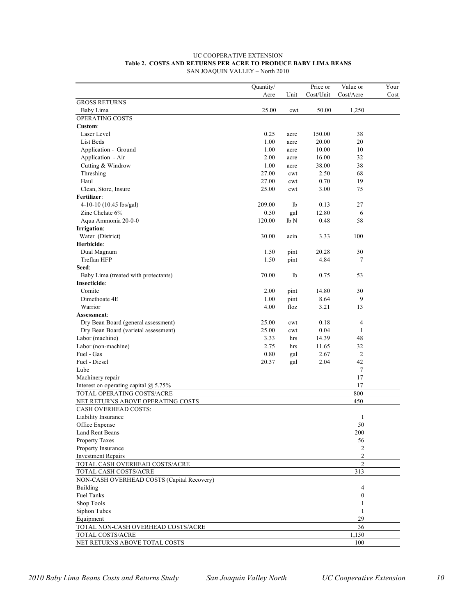|                                            | Quantity/ |      | Price or  | Value or       | Your |
|--------------------------------------------|-----------|------|-----------|----------------|------|
|                                            | Acre      | Unit | Cost/Unit | Cost/Acre      | Cost |
| <b>GROSS RETURNS</b>                       |           |      |           |                |      |
| Baby Lima                                  | 25.00     | cwt  | 50.00     | 1,250          |      |
| OPERATING COSTS                            |           |      |           |                |      |
| Custom:                                    |           |      |           |                |      |
| Laser Level                                | 0.25      | acre | 150.00    | 38             |      |
| List Beds                                  | 1.00      | acre | 20.00     | 20             |      |
| Application - Ground                       | 1.00      | acre | 10.00     | 10             |      |
| Application - Air                          | 2.00      | acre | 16.00     | 32             |      |
| Cutting & Windrow                          | 1.00      | acre | 38.00     | 38             |      |
| Threshing                                  | 27.00     | cwt  | 2.50      | 68             |      |
| Haul                                       | 27.00     | cwt  | 0.70      | 19             |      |
| Clean, Store, Insure                       | 25.00     | cwt  | 3.00      | 75             |      |
| Fertilizer:                                |           |      |           |                |      |
| 4-10-10 (10.45 lbs/gal)                    | 209.00    | 1b   | 0.13      | 27             |      |
| Zinc Chelate 6%                            | 0.50      | gal  | 12.80     | 6              |      |
| Aqua Ammonia 20-0-0                        | 120.00    | lb N | 0.48      | 58             |      |
| Irrigation:                                |           |      |           |                |      |
| Water (District)                           | 30.00     | acin | 3.33      | 100            |      |
| Herbicide:                                 |           |      |           |                |      |
| Dual Magnum                                | 1.50      | pint | 20.28     | 30             |      |
| Treflan HFP                                | 1.50      | pint | 4.84      | 7              |      |
| Seed:                                      |           |      |           |                |      |
| Baby Lima (treated with protectants)       | 70.00     | lb   | 0.75      | 53             |      |
| Insecticide:                               |           |      |           |                |      |
| Comite                                     | 2.00      | pint | 14.80     | 30             |      |
|                                            |           |      |           |                |      |
| Dimethoate 4E                              | 1.00      | pint | 8.64      | 9              |      |
| Warrior                                    | 4.00      | floz | 3.21      | 13             |      |
| Assessment:                                |           |      |           |                |      |
| Dry Bean Board (general assessment)        | 25.00     | cwt  | 0.18      | 4              |      |
| Dry Bean Board (varietal assessment)       | 25.00     | cwt  | 0.04      | 1              |      |
| Labor (machine)                            | 3.33      | hrs  | 14.39     | 48             |      |
| Labor (non-machine)                        | 2.75      | hrs  | 11.65     | 32             |      |
| Fuel - Gas                                 | 0.80      | gal  | 2.67      | $\overline{2}$ |      |
| Fuel - Diesel                              | 20.37     | gal  | 2.04      | 42             |      |
| Lube                                       |           |      |           | $\tau$         |      |
| Machinery repair                           |           |      |           | 17             |      |
| Interest on operating capital $@$ 5.75%    |           |      |           | 17             |      |
| TOTAL OPERATING COSTS/ACRE                 |           |      |           | 800            |      |
| NET RETURNS ABOVE OPERATING COSTS          |           |      |           | 450            |      |
| <b>CASH OVERHEAD COSTS:</b>                |           |      |           |                |      |
| Liability Insurance                        |           |      |           | 1              |      |
| Office Expense                             |           |      |           | 50             |      |
| Land Rent Beans                            |           |      |           | $200\,$        |      |
| Property Taxes                             |           |      |           | 56             |      |
| Property Insurance                         |           |      |           | 2              |      |
| <b>Investment Repairs</b>                  |           |      |           | 2              |      |
| TOTAL CASH OVERHEAD COSTS/ACRE             |           |      |           | $\overline{2}$ |      |
| TOTAL CASH COSTS/ACRE                      |           |      |           | 313            |      |
| NON-CASH OVERHEAD COSTS (Capital Recovery) |           |      |           |                |      |
| Building                                   |           |      |           | 4              |      |
| <b>Fuel Tanks</b>                          |           |      |           | $\overline{0}$ |      |
| Shop Tools                                 |           |      |           | 1              |      |
| Siphon Tubes                               |           |      |           | 1              |      |
| Equipment                                  |           |      |           | 29             |      |
| TOTAL NON-CASH OVERHEAD COSTS/ACRE         |           |      |           | 36             |      |
| TOTAL COSTS/ACRE                           |           |      |           | 1,150          |      |
| NET RETURNS ABOVE TOTAL COSTS              |           |      |           | 100            |      |

#### **Table 2. COSTS AND RETURNS PER ACRE TO PRODUCE BABY LIMA BEANS**  SAN JOAQUIN VALLEY – North 2010 UC COOPERATIVE EXTENSION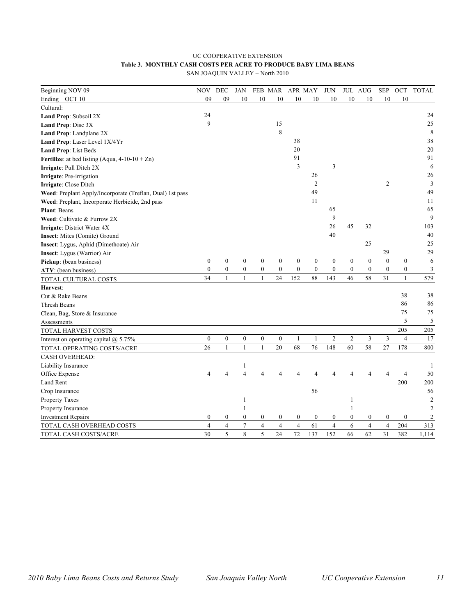## **Table 3. MONTHLY CASH COSTS PER ACRE TO PRODUCE BABY LIMA BEANS**  UC COOPERATIVE EXTENSION

SAN JOAQUIN VALLEY – North 2010

| Beginning NOV 09                                          | NOV            | DEC              | <b>JAN</b>       |                  | FEB MAR          | APR MAY          |                  | <b>JUN</b>       |                  | JUL AUG          | <b>SEP</b>       | $OCT$          | <b>TOTAL</b>   |
|-----------------------------------------------------------|----------------|------------------|------------------|------------------|------------------|------------------|------------------|------------------|------------------|------------------|------------------|----------------|----------------|
| Ending OCT 10                                             | 09             | 09               | 10               | 10               | 10               | 10               | 10               | 10               | 10               | 10               | 10               | 10             |                |
| Cultural:                                                 |                |                  |                  |                  |                  |                  |                  |                  |                  |                  |                  |                |                |
| Land Prep: Subsoil 2X                                     | 24             |                  |                  |                  |                  |                  |                  |                  |                  |                  |                  |                | 24             |
| Land Prep: Disc 3X                                        | 9              |                  |                  |                  | 15               |                  |                  |                  |                  |                  |                  |                | 25             |
| Land Prep: Landplane 2X                                   |                |                  |                  |                  | 8                |                  |                  |                  |                  |                  |                  |                | 8              |
| Land Prep: Laser Level 1X/4Yr                             |                |                  |                  |                  |                  | 38               |                  |                  |                  |                  |                  |                | 38             |
| Land Prep: List Beds                                      |                |                  |                  |                  |                  | 20               |                  |                  |                  |                  |                  |                | 20             |
| <b>Fertilize:</b> at bed listing (Aqua, $4-10-10+Zn$ )    |                |                  |                  |                  |                  | 91               |                  |                  |                  |                  |                  |                | 91             |
| Irrigate: Pull Ditch 2X                                   |                |                  |                  |                  |                  | $\overline{3}$   |                  | 3                |                  |                  |                  |                | 6              |
| Irrigate: Pre-irrigation                                  |                |                  |                  |                  |                  |                  | 26               |                  |                  |                  |                  |                | 26             |
| Irrigate: Close Ditch                                     |                |                  |                  |                  |                  |                  | $\mathfrak{2}$   |                  |                  |                  | $\overline{2}$   |                | $\overline{3}$ |
| Weed: Preplant Apply/Incorporate (Treflan, Dual) 1st pass |                |                  |                  |                  |                  |                  | 49               |                  |                  |                  |                  |                | 49             |
| Weed: Preplant, Incorporate Herbicide, 2nd pass           |                |                  |                  |                  |                  |                  | 11               |                  |                  |                  |                  |                | 11             |
| <b>Plant: Beans</b>                                       |                |                  |                  |                  |                  |                  |                  | 65               |                  |                  |                  |                | 65             |
| Weed: Cultivate & Furrow 2X                               |                |                  |                  |                  |                  |                  |                  | 9                |                  |                  |                  |                | 9              |
| Irrigate: District Water 4X                               |                |                  |                  |                  |                  |                  |                  | 26               | 45               | 32               |                  |                | 103            |
| Insect: Mites (Comite) Ground                             |                |                  |                  |                  |                  |                  |                  | 40               |                  |                  |                  |                | 40             |
| Insect: Lygus, Aphid (Dimethoate) Air                     |                |                  |                  |                  |                  |                  |                  |                  |                  | 25               |                  |                | $25\,$         |
| Insect: Lygus (Warrior) Air                               |                |                  |                  |                  |                  |                  |                  |                  |                  |                  | 29               |                | 29             |
| Pickup: (bean business)                                   | $\mathbf{0}$   | $\boldsymbol{0}$ | $\boldsymbol{0}$ | $\boldsymbol{0}$ | $\boldsymbol{0}$ | $\boldsymbol{0}$ | $\boldsymbol{0}$ | $\boldsymbol{0}$ | $\boldsymbol{0}$ | $\boldsymbol{0}$ | $\mathbf{0}$     | $\mathbf{0}$   | 6              |
| ATV: (bean business)                                      | $\mathbf{0}$   | $\mathbf{0}$     | $\boldsymbol{0}$ | $\mathbf{0}$     | $\mathbf{0}$     | $\mathbf{0}$     | $\mathbf{0}$     | $\mathbf{0}$     | $\mathbf{0}$     | $\mathbf{0}$     | $\mathbf{0}$     | $\mathbf{0}$   | 3              |
| TOTAL CULTURAL COSTS                                      | 34             | $\mathbf{1}$     | $\mathbf{1}$     | $\mathbf{1}$     | 24               | 152              | 88               | 143              | 46               | 58               | 31               | $\mathbf{1}$   | 579            |
| Harvest:                                                  |                |                  |                  |                  |                  |                  |                  |                  |                  |                  |                  |                |                |
| Cut & Rake Beans                                          |                |                  |                  |                  |                  |                  |                  |                  |                  |                  |                  | 38             | 38             |
| Thresh Beans                                              |                |                  |                  |                  |                  |                  |                  |                  |                  |                  |                  | 86             | 86             |
| Clean, Bag, Store & Insurance                             |                |                  |                  |                  |                  |                  |                  |                  |                  |                  |                  | 75             | 75             |
| Assessments                                               |                |                  |                  |                  |                  |                  |                  |                  |                  |                  |                  | 5              | 5              |
| TOTAL HARVEST COSTS                                       |                |                  |                  |                  |                  |                  |                  |                  |                  |                  |                  | 205            | 205            |
| Interest on operating capital $@$ 5.75%                   | $\overline{0}$ | $\mathbf{0}$     | $\mathbf{0}$     | $\mathbf{0}$     | $\mathbf{0}$     | $\mathbf{1}$     | 1                | $\overline{2}$   | $\overline{2}$   | $\mathfrak z$    | 3                | $\overline{4}$ | 17             |
| TOTAL OPERATING COSTS/ACRE                                | 26             | $\mathbf{1}$     | $\mathbf{1}$     | 1                | 20               | 68               | 76               | 148              | 60               | 58               | 27               | 178            | 800            |
| <b>CASH OVERHEAD:</b>                                     |                |                  |                  |                  |                  |                  |                  |                  |                  |                  |                  |                |                |
| Liability Insurance                                       |                |                  | 1                |                  |                  |                  |                  |                  |                  |                  |                  |                | 1              |
| Office Expense                                            | 4              | 4                | $\overline{4}$   | 4                |                  | 4                | 4                | 4                |                  | $\Delta$         | 4                | $\overline{4}$ | 50             |
| Land Rent                                                 |                |                  |                  |                  |                  |                  |                  |                  |                  |                  |                  | 200            | 200            |
| Crop Insurance                                            |                |                  |                  |                  |                  |                  | 56               |                  |                  |                  |                  |                | 56             |
| Property Taxes                                            |                |                  | $\mathbf{1}$     |                  |                  |                  |                  |                  |                  |                  |                  |                | $\mathfrak{2}$ |
| Property Insurance                                        |                |                  | 1                |                  |                  |                  |                  |                  | 1                |                  |                  |                | $\overline{2}$ |
| <b>Investment Repairs</b>                                 | $\overline{0}$ | $\boldsymbol{0}$ | $\boldsymbol{0}$ | $\boldsymbol{0}$ | $\boldsymbol{0}$ | $\bf{0}$         | $\boldsymbol{0}$ | $\boldsymbol{0}$ | $\mathbf{0}$     | $\boldsymbol{0}$ | $\boldsymbol{0}$ | $\mathbf{0}$   | 2              |
| TOTAL CASH OVERHEAD COSTS                                 | $\overline{4}$ | $\overline{4}$   | 7                | $\overline{4}$   | $\overline{4}$   | $\overline{4}$   | 61               | $\overline{4}$   | 6                | $\overline{4}$   | $\overline{4}$   | 204            | 313            |
| TOTAL CASH COSTS/ACRE                                     | 30             | 5                | 8                | 5                | 24               | 72               | 137              | 152              | 66               | 62               | 31               | 382            | 1,114          |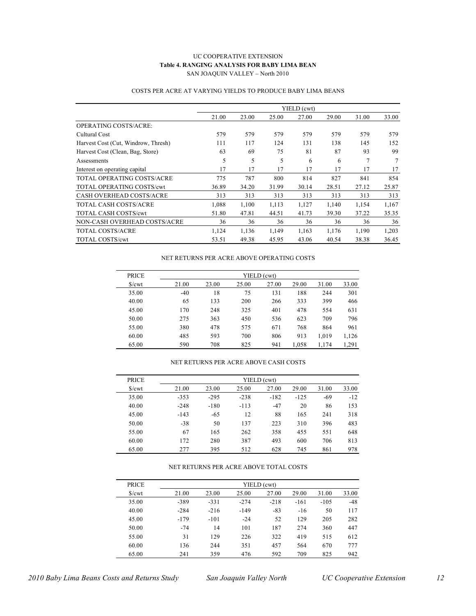#### **Table 4. RANGING ANALYSIS FOR BABY LIMA BEAN**  SAN JOAQUIN VALLEY – North 2010 UC COOPERATIVE EXTENSION

|                                     |       |       |       | YIELD (cwt) |       |       |       |
|-------------------------------------|-------|-------|-------|-------------|-------|-------|-------|
|                                     | 21.00 | 23.00 | 25.00 | 27.00       | 29.00 | 31.00 | 33.00 |
| OPERATING COSTS/ACRE:               |       |       |       |             |       |       |       |
| Cultural Cost                       | 579   | 579   | 579   | 579         | 579   | 579   | 579   |
| Harvest Cost (Cut, Windrow, Thresh) | 111   | 117   | 124   | 131         | 138   | 145   | 152   |
| Harvest Cost (Clean, Bag, Store)    | 63    | 69    | 75    | 81          | 87    | 93    | 99    |
| Assessments                         | 5     | 5     | 5     | 6           | 6     | 7     | 7     |
| Interest on operating capital       | 17    | 17    | 17    | 17          | 17    | 17    | 17    |
| TOTAL OPERATING COSTS/ACRE          | 775   | 787   | 800   | 814         | 827   | 841   | 854   |
| <b>TOTAL OPERATING COSTS/cwt</b>    | 36.89 | 34.20 | 31.99 | 30.14       | 28.51 | 27.12 | 25.87 |
| <b>CASH OVERHEAD COSTS/ACRE</b>     | 313   | 313   | 313   | 313         | 313   | 313   | 313   |
| <b>TOTAL CASH COSTS/ACRE</b>        | 1,088 | 1,100 | 1,113 | 1.127       | 1,140 | 1,154 | 1,167 |
| <b>TOTAL CASH COSTS/cwt</b>         | 51.80 | 47.81 | 44.51 | 41.73       | 39.30 | 37.22 | 35.35 |
| NON-CASH OVERHEAD COSTS/ACRE        | 36    | 36    | 36    | 36          | 36    | 36    | 36    |
| <b>TOTAL COSTS/ACRE</b>             | 1,124 | 1,136 | 1,149 | 1,163       | 1,176 | 1,190 | 1,203 |
| TOTAL COSTS/cwt                     | 53.51 | 49.38 | 45.95 | 43.06       | 40.54 | 38.38 | 36.45 |

#### COSTS PER ACRE AT VARYING YIELDS TO PRODUCE BABY LIMA BEANS

#### NET RETURNS PER ACRE ABOVE OPERATING COSTS

| <b>PRICE</b> | YIELD (cwt) |       |       |       |       |       |       |  |  |  |  |
|--------------|-------------|-------|-------|-------|-------|-------|-------|--|--|--|--|
| S/cwt        | 21.00       | 23.00 | 25.00 | 27.00 | 29.00 | 31.00 | 33.00 |  |  |  |  |
| 35.00        | $-40$       | 18    | 75    | 131   | 188   | 244   | 301   |  |  |  |  |
| 40.00        | 65          | 133   | 200   | 266   | 333   | 399   | 466   |  |  |  |  |
| 45.00        | 170         | 248   | 325   | 401   | 478   | 554   | 631   |  |  |  |  |
| 50.00        | 275         | 363   | 450   | 536   | 623   | 709   | 796   |  |  |  |  |
| 55.00        | 380         | 478   | 575   | 671   | 768   | 864   | 961   |  |  |  |  |
| 60.00        | 485         | 593   | 700   | 806   | 913   | 1,019 | 1,126 |  |  |  |  |
| 65.00        | 590         | 708   | 825   | 941   | 1,058 | 1,174 | 1,291 |  |  |  |  |

#### NET RETURNS PER ACRE ABOVE CASH COSTS

| <b>PRICE</b>           | YIELD (cwt) |        |        |        |        |       |       |  |  |  |  |
|------------------------|-------------|--------|--------|--------|--------|-------|-------|--|--|--|--|
| $\sqrt{\frac{2}{\pi}}$ | 21.00       | 23.00  | 25.00  | 27.00  | 29.00  | 31.00 | 33.00 |  |  |  |  |
| 35.00                  | $-353$      | $-295$ | $-238$ | $-182$ | $-125$ | $-69$ | $-12$ |  |  |  |  |
| 40.00                  | $-248$      | $-180$ | $-113$ | $-47$  | 20     | 86    | 153   |  |  |  |  |
| 45.00                  | $-143$      | $-65$  | 12     | 88     | 165    | 241   | 318   |  |  |  |  |
| 50.00                  | $-38$       | 50     | 137    | 223    | 310    | 396   | 483   |  |  |  |  |
| 55.00                  | 67          | 165    | 262    | 358    | 455    | 551   | 648   |  |  |  |  |
| 60.00                  | 172         | 280    | 387    | 493    | 600    | 706   | 813   |  |  |  |  |
| 65.00                  | 277         | 395    | 512    | 628    | 745    | 861   | 978   |  |  |  |  |

#### NET RETURNS PER ACRE ABOVE TOTAL COSTS

| <b>PRICE</b>      | YIELD (cwt) |        |        |        |        |        |       |  |  |  |  |
|-------------------|-------------|--------|--------|--------|--------|--------|-------|--|--|--|--|
| $\sqrt{\text{c}}$ | 21.00       | 23.00  | 25.00  | 27.00  | 29.00  | 31.00  | 33.00 |  |  |  |  |
| 35.00             | $-389$      | $-331$ | $-274$ | $-218$ | $-161$ | $-105$ | $-48$ |  |  |  |  |
| 40.00             | $-284$      | $-216$ | $-149$ | $-83$  | $-16$  | 50     | 117   |  |  |  |  |
| 45.00             | $-179$      | $-101$ | $-24$  | 52     | 129    | 205    | 282   |  |  |  |  |
| 50.00             | $-74$       | 14     | 101    | 187    | 274    | 360    | 447   |  |  |  |  |
| 55.00             | 31          | 129    | 226    | 322    | 419    | 515    | 612   |  |  |  |  |
| 60.00             | 136         | 244    | 351    | 457    | 564    | 670    | 777   |  |  |  |  |
| 65.00             | 241         | 359    | 476    | 592    | 709    | 825    | 942   |  |  |  |  |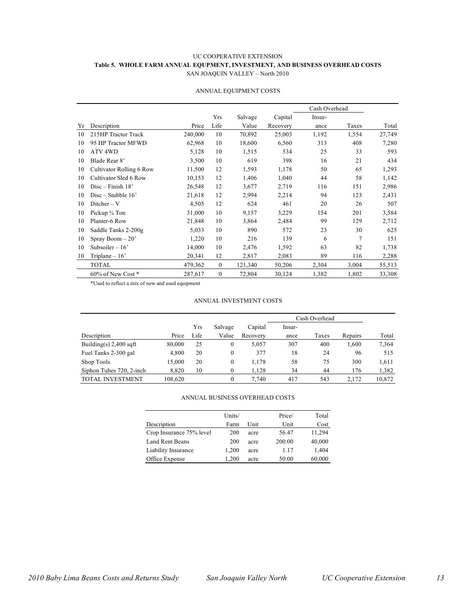#### **Table 5. WHOLE FARM ANNUAL EQUPMENT, INVESTMENT, AND BUSINESS OVERHEAD COSTS**  SAN JOAQUIN VALLEY – North 2010 UC COOPERATIVE EXTENSION

|    |                          |         |              |         |          |        | Cash Overhead |        |
|----|--------------------------|---------|--------------|---------|----------|--------|---------------|--------|
|    |                          |         | Yrs          | Salvage | Capital  | Insur- |               |        |
| Yr | Description              | Price   | Life         | Value   | Recovery | ance   | Taxes         | Total  |
| 10 | 215HP Tractor Track      | 240,000 | 10           | 70,892  | 25,003   | 1,192  | 1,554         | 27,749 |
| 10 | 95 HP Tractor MFWD       | 62,968  | 10           | 18,600  | 6,560    | 313    | 408           | 7,280  |
| 10 | ATV <sub>4WD</sub>       | 5,128   | 10           | 1,515   | 534      | 25     | 33            | 593    |
| 10 | Blade Rear 8'            | 3,500   | 10           | 619     | 398      | 16     | 21            | 434    |
| 10 | Cultivator Rolling 6 Row | 11,500  | 12           | 1,593   | 1,178    | 50     | 65            | 1,293  |
| 10 | Cultivator Sled 6 Row    | 10,153  | 12           | 1,406   | 1,040    | 44     | 58            | 1,142  |
| 10 | $Disc-Finish 18'$        | 26,548  | 12           | 3,677   | 2,719    | 116    | 151           | 2,986  |
| 10 | Disc – Stubble $16'$     | 21,618  | 12           | 2,994   | 2,214    | 94     | 123           | 2,431  |
| 10 | $Dither-V$               | 4,505   | 12           | 624     | 461      | 20     | 26            | 507    |
| 10 | Pickup 3/4 Ton           | 31,000  | 10           | 9,157   | 3,229    | 154    | 201           | 3,584  |
| 10 | Planter-6 Row            | 21,848  | 10           | 3,864   | 2,484    | 99     | 129           | 2,712  |
| 10 | Saddle Tanks 2-200g      | 5,033   | 10           | 890     | 572      | 23     | 30            | 625    |
| 10 | Spray Boom $-20$         | 1,220   | 10           | 216     | 139      | 6      | 7             | 151    |
| 10 | Subsoiler $-16$          | 14,000  | 10           | 2,476   | 1,592    | 63     | 82            | 1,738  |
| 10 | Triplane $-16$           | 20,341  | 12           | 2,817   | 2,083    | 89     | 116           | 2,288  |
|    | <b>TOTAL</b>             | 479,362 | $\theta$     | 121,340 | 50,206   | 2,304  | 3,004         | 55,513 |
|    | 60% of New Cost*         | 287,617 | $\mathbf{0}$ | 72,804  | 30,124   | 1,382  | 1,802         | 33,308 |

#### ANNUAL EQUIPMENT COSTS

\*Used to reflect a mix of new and used equipment

#### ANNUAL INVESTMENT COSTS

|                          |         |      |         |          |        | Cash Overhead |         |        |  |
|--------------------------|---------|------|---------|----------|--------|---------------|---------|--------|--|
|                          |         | Yrs  | Salvage | Capital  | Insur- |               |         |        |  |
| Description              | Price   | Life | Value   | Recovery | ance   | Taxes         | Repairs | Total  |  |
| Building(s) $2,400$ sqft | 80,000  | 25   | 0       | 5.057    | 307    | 400           | 1,600   | 7,364  |  |
| Fuel Tanks 2-300 gal     | 4.800   | 20   | 0       | 377      | 18     | 24            | 96      | 515    |  |
| Shop Tools               | 15.000  | 20   | 0       | 1.178    | 58     | 75            | 300     | 1,611  |  |
| Siphon Tubes 720, 2-inch | 8,820   | 10   | 0       | 1,128    | 34     | 44            | 176     | 1,382  |  |
| <b>TOTAL INVESTMENT</b>  | 108.620 |      | 0       | 7.740    | 417    | 543           | 2.172   | 10,872 |  |

#### ANNUAL BUSINESS OVERHEAD COSTS

|                          | Units/ |      | Price/ | Total  |
|--------------------------|--------|------|--------|--------|
| Description              | Farm   | Unit | Unit   | Cost   |
| Crop Insurance 75% level | 200    | acre | 56.47  | 11,294 |
| Land Rent Beans          | 200    | acre | 200.00 | 40,000 |
| Liability Insurance      | 1.200  | acre | 1.17   | 1,404  |
| Office Expense           | 1.200  | acre | 50.00  | 60,000 |
|                          |        |      |        |        |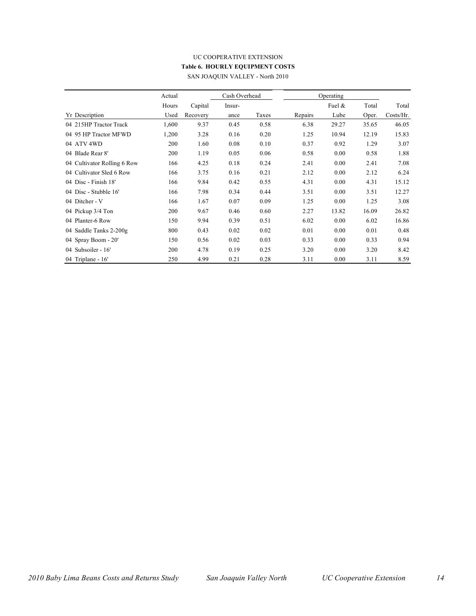#### **Table 6. HOURLY EQUIPMENT COSTS**  SAN JOAQUIN VALLEY - North 2010 UC COOPERATIVE EXTENSION

|                             | Actual |          | Cash Overhead |       |         | Operating |       |           |
|-----------------------------|--------|----------|---------------|-------|---------|-----------|-------|-----------|
|                             | Hours  | Capital  | Insur-        |       |         | Fuel $\&$ | Total | Total     |
| Yr Description              | Used   | Recovery | ance          | Taxes | Repairs | Lube      | Oper. | Costs/Hr. |
| 04 215HP Tractor Track      | 1,600  | 9.37     | 0.45          | 0.58  | 6.38    | 29.27     | 35.65 | 46.05     |
| 04 95 HP Tractor MFWD       | 1,200  | 3.28     | 0.16          | 0.20  | 1.25    | 10.94     | 12.19 | 15.83     |
| 04 ATV 4WD                  | 200    | 1.60     | 0.08          | 0.10  | 0.37    | 0.92      | 1.29  | 3.07      |
| 04 Blade Rear 8'            | 200    | 1.19     | 0.05          | 0.06  | 0.58    | 0.00      | 0.58  | 1.88      |
| 04 Cultivator Rolling 6 Row | 166    | 4.25     | 0.18          | 0.24  | 2.41    | 0.00      | 2.41  | 7.08      |
| 04 Cultivator Sled 6 Row    | 166    | 3.75     | 0.16          | 0.21  | 2.12    | 0.00      | 2.12  | 6.24      |
| 04 Disc - Finish 18'        | 166    | 9.84     | 0.42          | 0.55  | 4.31    | 0.00      | 4.31  | 15.12     |
| 04 Disc - Stubble 16'       | 166    | 7.98     | 0.34          | 0.44  | 3.51    | 0.00      | 3.51  | 12.27     |
| 04 Ditcher - V              | 166    | 1.67     | 0.07          | 0.09  | 1.25    | 0.00      | 1.25  | 3.08      |
| 04 Pickup 3/4 Ton           | 200    | 9.67     | 0.46          | 0.60  | 2.27    | 13.82     | 16.09 | 26.82     |
| 04 Planter-6 Row            | 150    | 9.94     | 0.39          | 0.51  | 6.02    | 0.00      | 6.02  | 16.86     |
| 04 Saddle Tanks 2-200g      | 800    | 0.43     | 0.02          | 0.02  | 0.01    | 0.00      | 0.01  | 0.48      |
| 04 Spray Boom - 20'         | 150    | 0.56     | 0.02          | 0.03  | 0.33    | 0.00      | 0.33  | 0.94      |
| 04 Subsoiler - 16'          | 200    | 4.78     | 0.19          | 0.25  | 3.20    | 0.00      | 3.20  | 8.42      |
| 04 Triplane - $16'$         | 250    | 4.99     | 0.21          | 0.28  | 3.11    | 0.00      | 3.11  | 8.59      |